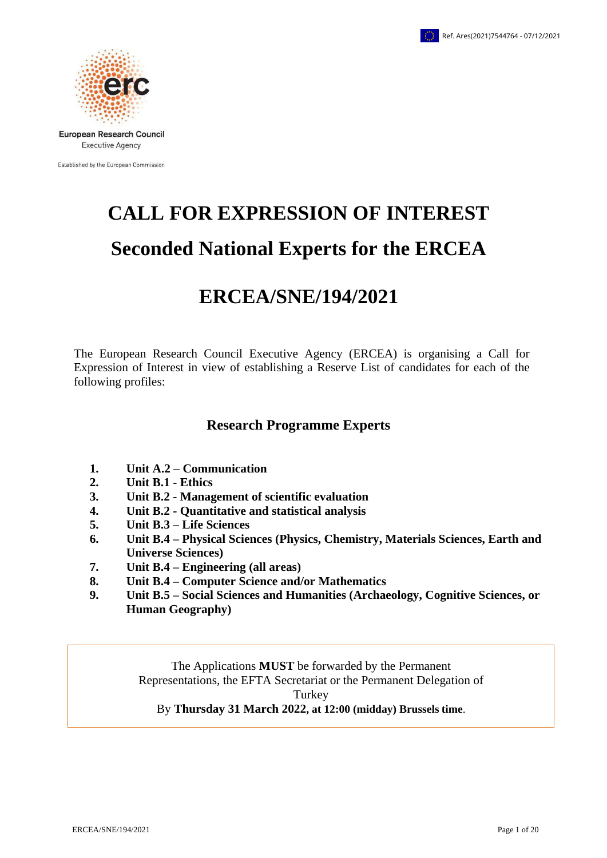

Established by the European Commission

# **CALL FOR EXPRESSION OF INTEREST Seconded National Experts for the ERCEA**

# **ERCEA/SNE/194/2021**

The European Research Council Executive Agency (ERCEA) is organising a Call for Expression of Interest in view of establishing a Reserve List of candidates for each of the following profiles:

# **Research Programme Experts**

- **1. Unit A.2 – Communication**
- **2. Unit B.1 - Ethics**
- **3. Unit B.2 - Management of scientific evaluation**
- **4. Unit B.2 - Quantitative and statistical analysis**
- **5. Unit B.3 – Life Sciences**
- **6. Unit B.4 – Physical Sciences (Physics, Chemistry, Materials Sciences, Earth and Universe Sciences)**
- **7. Unit B.4 – Engineering (all areas)**
- **8. Unit B.4 – Computer Science and/or Mathematics**
- **9. Unit B.5 – Social Sciences and Humanities (Archaeology, Cognitive Sciences, or Human Geography)**

The Applications **MUST** be forwarded by the Permanent Representations, the EFTA Secretariat or the Permanent Delegation of Turkey By **Thursday 31 March 2022, at 12:00 (midday) Brussels time**.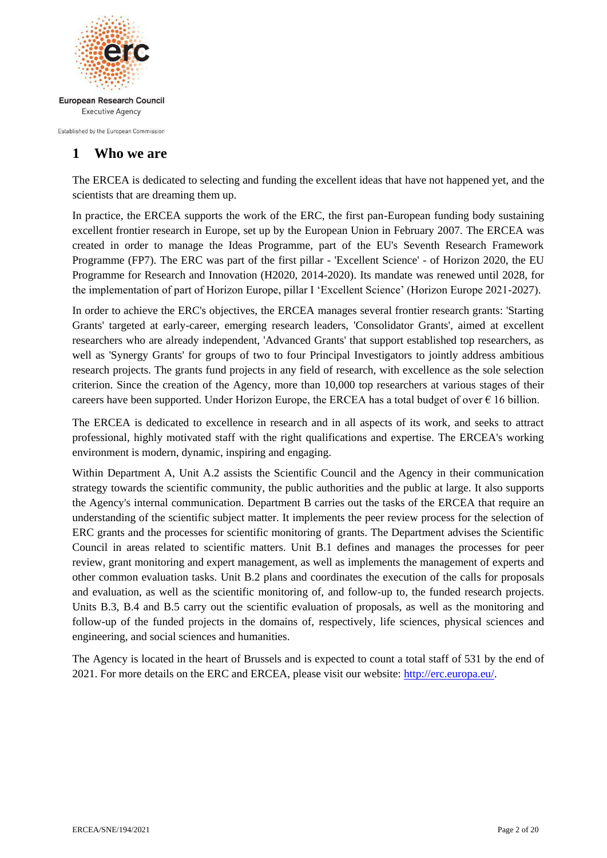

Established by the European Commission

# **1 Who we are**

The ERCEA is dedicated to selecting and funding the excellent ideas that have not happened yet, and the scientists that are dreaming them up.

In practice, the ERCEA supports the work of the ERC, the first pan-European funding body sustaining excellent frontier research in Europe, set up by the European Union in February 2007. The ERCEA was created in order to manage the Ideas Programme, part of the EU's Seventh Research Framework Programme (FP7). The ERC was part of the first pillar - 'Excellent Science' - of Horizon 2020, the EU Programme for Research and Innovation (H2020, 2014-2020). Its mandate was renewed until 2028, for the implementation of part of Horizon Europe, pillar I 'Excellent Science' (Horizon Europe 2021-2027).

In order to achieve the ERC's objectives, the ERCEA manages several frontier research grants: 'Starting Grants' targeted at early-career, emerging research leaders, 'Consolidator Grants', aimed at excellent researchers who are already independent, 'Advanced Grants' that support established top researchers, as well as 'Synergy Grants' for groups of two to four Principal Investigators to jointly address ambitious research projects. The grants fund projects in any field of research, with excellence as the sole selection criterion. Since the creation of the Agency, more than 10,000 top researchers at various stages of their careers have been supported. Under Horizon Europe, the ERCEA has a total budget of over  $\epsilon$  16 billion.

The ERCEA is dedicated to excellence in research and in all aspects of its work, and seeks to attract professional, highly motivated staff with the right qualifications and expertise. The ERCEA's working environment is modern, dynamic, inspiring and engaging.

Within Department A, Unit A.2 assists the Scientific Council and the Agency in their communication strategy towards the scientific community, the public authorities and the public at large. It also supports the Agency's internal communication. Department B carries out the tasks of the ERCEA that require an understanding of the scientific subject matter. It implements the peer review process for the selection of ERC grants and the processes for scientific monitoring of grants. The Department advises the Scientific Council in areas related to scientific matters. Unit B.1 defines and manages the processes for peer review, grant monitoring and expert management, as well as implements the management of experts and other common evaluation tasks. Unit B.2 plans and coordinates the execution of the calls for proposals and evaluation, as well as the scientific monitoring of, and follow-up to, the funded research projects. Units B.3, B.4 and B.5 carry out the scientific evaluation of proposals, as well as the monitoring and follow-up of the funded projects in the domains of, respectively, life sciences, physical sciences and engineering, and social sciences and humanities.

The Agency is located in the heart of Brussels and is expected to count a total staff of 531 by the end of 2021. For more details on the ERC and ERCEA, please visit our website: [http://erc.europa.eu/.](http://erc.europa.eu/)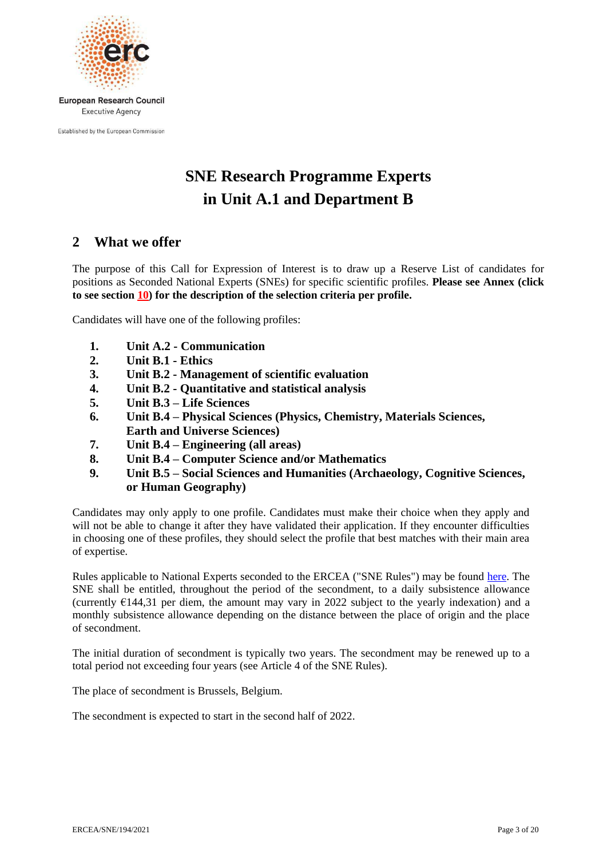

Established by the European Commission

# **SNE Research Programme Experts in Unit A.1 and Department B**

# **2 What we offer**

The purpose of this Call for Expression of Interest is to draw up a Reserve List of candidates for positions as Seconded National Experts (SNEs) for specific scientific profiles. **Please see Annex (click to see section [10\)](#page-7-0) for the description of the selection criteria per profile.**

Candidates will have one of the following profiles:

- **1. Unit A.2 - Communication**
- **2. Unit B.1 - Ethics**
- **3. Unit B.2 - Management of scientific evaluation**
- **4. Unit B.2 - Quantitative and statistical analysis**
- **5. Unit B.3 – Life Sciences**
- **6. Unit B.4 – Physical Sciences (Physics, Chemistry, Materials Sciences, Earth and Universe Sciences)**
- **7. Unit B.4 – Engineering (all areas)**
- **8. Unit B.4 – Computer Science and/or Mathematics**
- **9. Unit B.5 – Social Sciences and Humanities (Archaeology, Cognitive Sciences, or Human Geography)**

Candidates may only apply to one profile. Candidates must make their choice when they apply and will not be able to change it after they have validated their application. If they encounter difficulties in choosing one of these profiles, they should select the profile that best matches with their main area of expertise.

Rules applicable to National Experts seconded to the ERCEA ("SNE Rules") may be found [here.](https://erc.europa.eu/sites/default/files/document/file/rules_applicable_to_SNE_revised.pdf) The SNE shall be entitled, throughout the period of the secondment, to a daily subsistence allowance (currently  $E144,31$  per diem, the amount may vary in 2022 subject to the yearly indexation) and a monthly subsistence allowance depending on the distance between the place of origin and the place of secondment.

The initial duration of secondment is typically two years. The secondment may be renewed up to a total period not exceeding four years (see Article 4 of the SNE Rules).

The place of secondment is Brussels, Belgium.

The secondment is expected to start in the second half of 2022.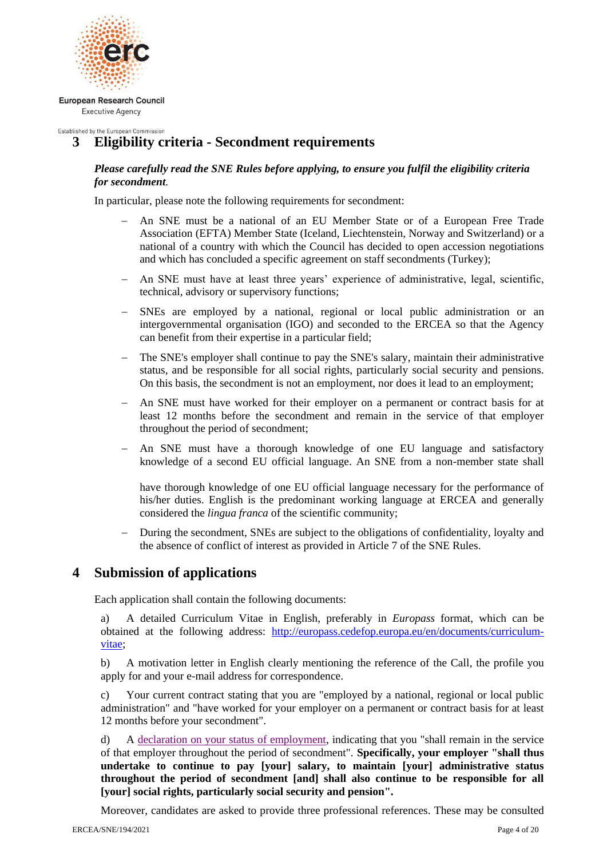

#### Established by the European Commission **3 Eligibility criteria - Secondment requirements**

# *Please carefully read the SNE Rules before applying, to ensure you fulfil the eligibility criteria for secondment.*

In particular, please note the following requirements for secondment:

- An SNE must be a national of an EU Member State or of a European Free Trade Association (EFTA) Member State (Iceland, Liechtenstein, Norway and Switzerland) or a national of a country with which the Council has decided to open accession negotiations and which has concluded a specific agreement on staff secondments (Turkey);
- An SNE must have at least three years' experience of administrative, legal, scientific, technical, advisory or supervisory functions;
- SNEs are employed by a national, regional or local public administration or an intergovernmental organisation (IGO) and seconded to the ERCEA so that the Agency can benefit from their expertise in a particular field;
- The SNE's employer shall continue to pay the SNE's salary, maintain their administrative status, and be responsible for all social rights, particularly social security and pensions. On this basis, the secondment is not an employment, nor does it lead to an employment;
- An SNE must have worked for their employer on a permanent or contract basis for at least 12 months before the secondment and remain in the service of that employer throughout the period of secondment;
- An SNE must have a thorough knowledge of one EU language and satisfactory knowledge of a second EU official language. An SNE from a non-member state shall

have thorough knowledge of one EU official language necessary for the performance of his/her duties. English is the predominant working language at ERCEA and generally considered the *lingua franca* of the scientific community;

 During the secondment, SNEs are subject to the obligations of confidentiality, loyalty and the absence of conflict of interest as provided in Article 7 of the SNE Rules.

# **4 Submission of applications**

Each application shall contain the following documents:

a) A detailed Curriculum Vitae in English, preferably in *Europass* format, which can be obtained at the following address: [http://europass.cedefop.europa.eu/en/documents/curriculum](http://europass.cedefop.europa.eu/en/documents/curriculum-vitae)[vitae;](http://europass.cedefop.europa.eu/en/documents/curriculum-vitae)

b) A motivation letter in English clearly mentioning the reference of the Call, the profile you apply for and your e-mail address for correspondence.

c) Your current contract stating that you are "employed by a national, regional or local public administration" and "have worked for your employer on a permanent or contract basis for at least 12 months before your secondment".

d) A [declaration on your status of employment,](https://erc.europa.eu/sites/default/files/content/pages/pdf/Declaration-on-the-current-status-of-employment-SNE.pdf) indicating that you "shall remain in the service of that employer throughout the period of secondment". **Specifically, your employer "shall thus undertake to continue to pay [your] salary, to maintain [your] administrative status throughout the period of secondment [and] shall also continue to be responsible for all [your] social rights, particularly social security and pension".**

Moreover, candidates are asked to provide three professional references. These may be consulted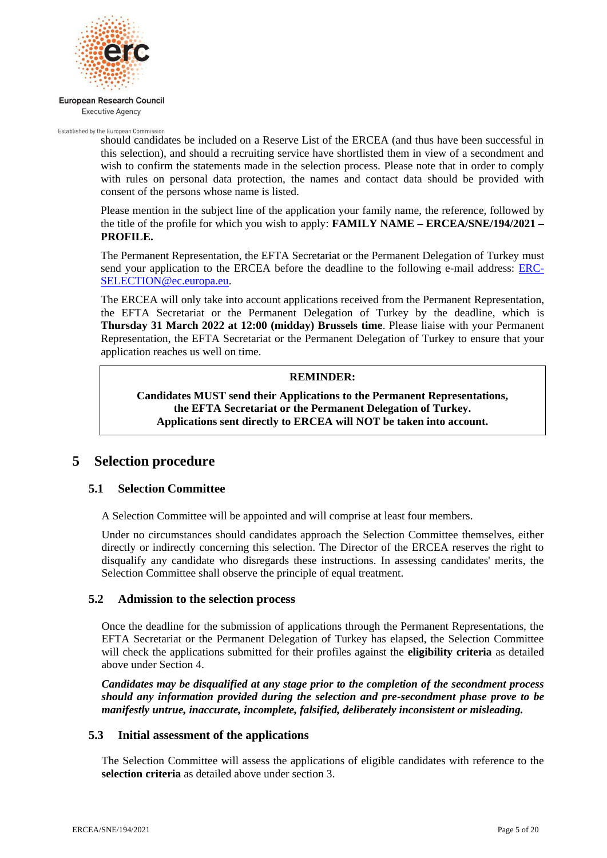

Established by the European Commission

should candidates be included on a Reserve List of the ERCEA (and thus have been successful in this selection), and should a recruiting service have shortlisted them in view of a secondment and wish to confirm the statements made in the selection process. Please note that in order to comply with rules on personal data protection, the names and contact data should be provided with consent of the persons whose name is listed.

Please mention in the subject line of the application your family name, the reference, followed by the title of the profile for which you wish to apply: **FAMILY NAME – ERCEA/SNE/194/2021 – PROFILE.**

The Permanent Representation, the EFTA Secretariat or the Permanent Delegation of Turkey must send your application to the ERCEA before the deadline to the following e-mail address: [ERC-](mailto:ERC-SELECTION@ec.europa.eu)[SELECTION@ec.europa.eu.](mailto:ERC-SELECTION@ec.europa.eu)

The ERCEA will only take into account applications received from the Permanent Representation, the EFTA Secretariat or the Permanent Delegation of Turkey by the deadline, which is **Thursday 31 March 2022 at 12:00 (midday) Brussels time**. Please liaise with your Permanent Representation, the EFTA Secretariat or the Permanent Delegation of Turkey to ensure that your application reaches us well on time.

### **REMINDER:**

**Candidates MUST send their Applications to the Permanent Representations, the EFTA Secretariat or the Permanent Delegation of Turkey. Applications sent directly to ERCEA will NOT be taken into account.**

# **5 Selection procedure**

# **5.1 Selection Committee**

A Selection Committee will be appointed and will comprise at least four members.

Under no circumstances should candidates approach the Selection Committee themselves, either directly or indirectly concerning this selection. The Director of the ERCEA reserves the right to disqualify any candidate who disregards these instructions. In assessing candidates' merits, the Selection Committee shall observe the principle of equal treatment.

# **5.2 Admission to the selection process**

Once the deadline for the submission of applications through the Permanent Representations, the EFTA Secretariat or the Permanent Delegation of Turkey has elapsed, the Selection Committee will check the applications submitted for their profiles against the **eligibility criteria** as detailed above under Section 4.

*Candidates may be disqualified at any stage prior to the completion of the secondment process should any information provided during the selection and pre-secondment phase prove to be manifestly untrue, inaccurate, incomplete, falsified, deliberately inconsistent or misleading.*

# **5.3 Initial assessment of the applications**

The Selection Committee will assess the applications of eligible candidates with reference to the **selection criteria** as detailed above under section 3.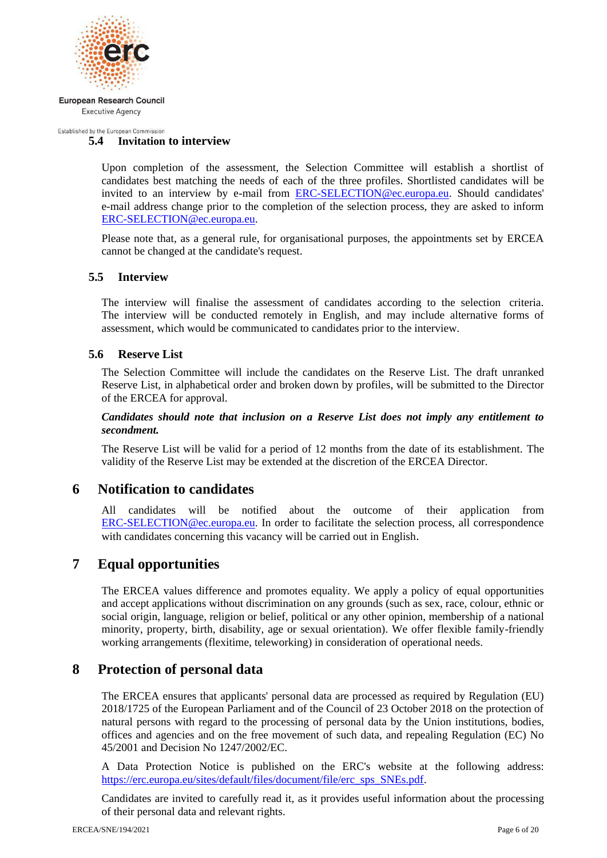

Established by the European Commission

# **5.4 Invitation to interview**

Upon completion of the assessment, the Selection Committee will establish a shortlist of candidates best matching the needs of each of the three profiles. Shortlisted candidates will be invited to an interview by e-mail from [ERC-SELECTION@ec.europa.eu.](mailto:ERC-SELECTION@ec.europa.eu) Should candidates' e-mail address change prior to the completion of the selection process, they are asked to inform [ERC-SELECTION@ec.europa.eu.](mailto:ERC-SELECTION@ec.europa.eu)

Please note that, as a general rule, for organisational purposes, the appointments set by ERCEA cannot be changed at the candidate's request.

# **5.5 Interview**

The interview will finalise the assessment of candidates according to the selection criteria. The interview will be conducted remotely in English, and may include alternative forms of assessment, which would be communicated to candidates prior to the interview.

# **5.6 Reserve List**

The Selection Committee will include the candidates on the Reserve List. The draft unranked Reserve List, in alphabetical order and broken down by profiles, will be submitted to the Director of the ERCEA for approval.

*Candidates should note that inclusion on a Reserve List does not imply any entitlement to secondment.*

The Reserve List will be valid for a period of 12 months from the date of its establishment. The validity of the Reserve List may be extended at the discretion of the ERCEA Director.

# **6 Notification to candidates**

All candidates will be notified about the outcome of their application from [ERC-SELECTION@ec.europa.eu.](mailto:ERC-SELECTION@ec.europa.eu) In order to facilitate the selection process, all correspondence with candidates concerning this vacancy will be carried out in English.

# **7 Equal opportunities**

The ERCEA values difference and promotes equality. We apply a policy of equal opportunities and accept applications without discrimination on any grounds (such as sex, race, colour, ethnic or social origin, language, religion or belief, political or any other opinion, membership of a national minority, property, birth, disability, age or sexual orientation). We offer flexible family-friendly working arrangements (flexitime, teleworking) in consideration of operational needs.

# **8 Protection of personal data**

The ERCEA ensures that applicants' personal data are processed as required by Regulation (EU) 2018/1725 of the European Parliament and of the Council of 23 October 2018 on the protection of natural persons with regard to the processing of personal data by the Union institutions, bodies, offices and agencies and on the free movement of such data, and repealing Regulation (EC) No 45/2001 and Decision No 1247/2002/EC.

A Data Protection Notice is published on the ERC's website at the following address: [https://erc.europa.eu/sites/default/files/document/file/erc\\_sps\\_SNEs.pdf.](https://erc.europa.eu/sites/default/files/document/file/erc_sps_SNEs.pdf)

Candidates are invited to carefully read it, as it provides useful information about the processing of their personal data and relevant rights.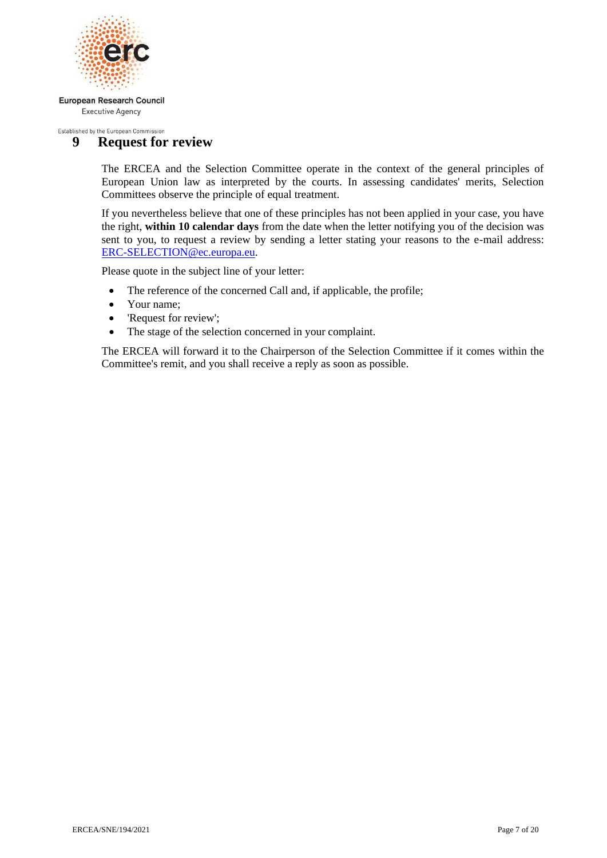

#### Established by the European Commission **9 Request for review**

The ERCEA and the Selection Committee operate in the context of the general principles of European Union law as interpreted by the courts. In assessing candidates' merits, Selection Committees observe the principle of equal treatment.

If you nevertheless believe that one of these principles has not been applied in your case, you have the right, **within 10 calendar days** from the date when the letter notifying you of the decision was sent to you, to request a review by sending a letter stating your reasons to the e-mail address: [ERC-SELECTION@ec.europa.eu.](mailto:ERC-SELECTION@ec.europa.eu)

Please quote in the subject line of your letter:

- The reference of the concerned Call and, if applicable, the profile;
- Your name:
- Request for review':
- The stage of the selection concerned in your complaint.

The ERCEA will forward it to the Chairperson of the Selection Committee if it comes within the Committee's remit, and you shall receive a reply as soon as possible.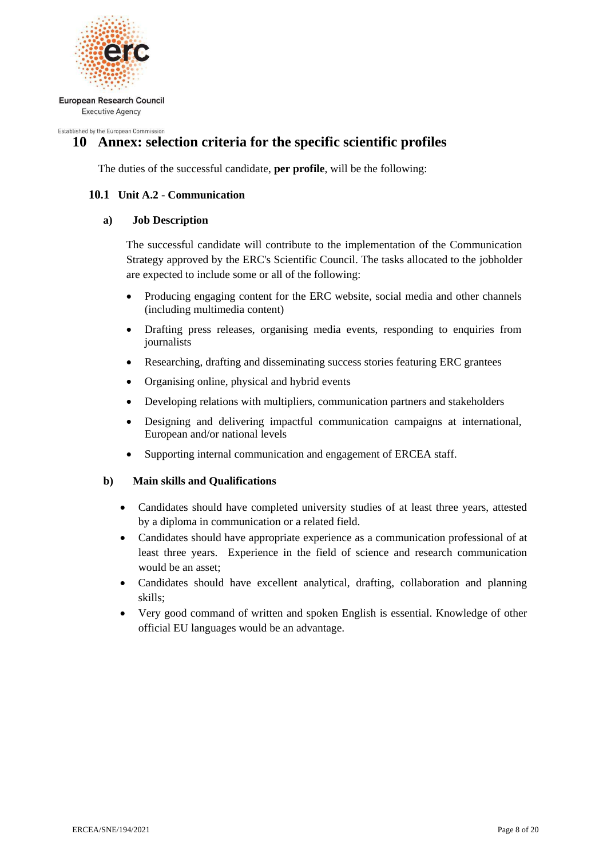

<span id="page-7-0"></span>Established by the European Commission

# **10 Annex: selection criteria for the specific scientific profiles**

The duties of the successful candidate, **per profile**, will be the following:

# **10.1 Unit A.2 - Communication**

# **a) Job Description**

The successful candidate will contribute to the implementation of the Communication Strategy approved by the ERC's Scientific Council. The tasks allocated to the jobholder are expected to include some or all of the following:

- Producing engaging content for the ERC website, social media and other channels (including multimedia content)
- Drafting press releases, organising media events, responding to enquiries from journalists
- Researching, drafting and disseminating success stories featuring ERC grantees
- Organising online, physical and hybrid events
- Developing relations with multipliers, communication partners and stakeholders
- Designing and delivering impactful communication campaigns at international, European and/or national levels
- Supporting internal communication and engagement of ERCEA staff.

- Candidates should have completed university studies of at least three years, attested by a diploma in communication or a related field.
- Candidates should have appropriate experience as a communication professional of at least three years. Experience in the field of science and research communication would be an asset;
- Candidates should have excellent analytical, drafting, collaboration and planning skills;
- Very good command of written and spoken English is essential. Knowledge of other official EU languages would be an advantage.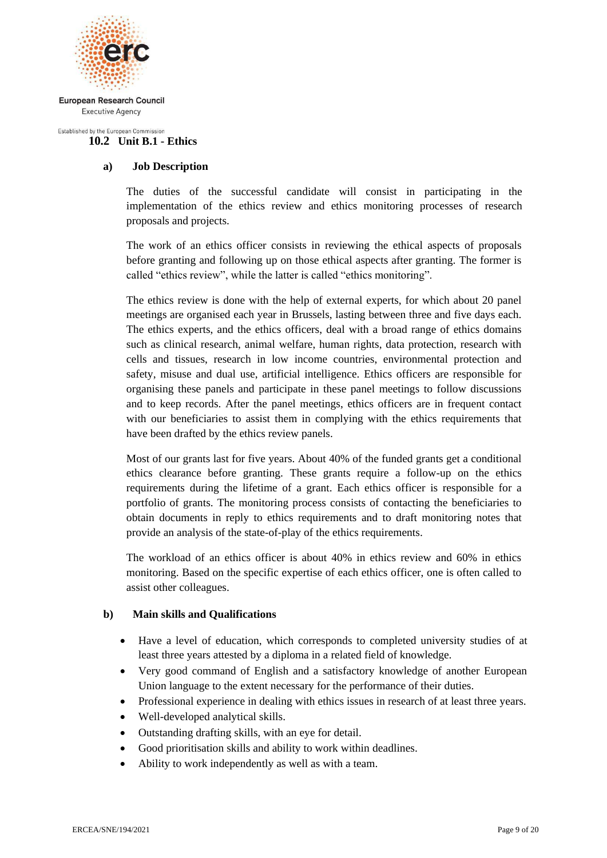

#### Established by the European Commission **10.2 Unit B.1 - Ethics**

# **a) Job Description**

The duties of the successful candidate will consist in participating in the implementation of the ethics review and ethics monitoring processes of research proposals and projects.

The work of an ethics officer consists in reviewing the ethical aspects of proposals before granting and following up on those ethical aspects after granting. The former is called "ethics review", while the latter is called "ethics monitoring".

The ethics review is done with the help of external experts, for which about 20 panel meetings are organised each year in Brussels, lasting between three and five days each. The ethics experts, and the ethics officers, deal with a broad range of ethics domains such as clinical research, animal welfare, human rights, data protection, research with cells and tissues, research in low income countries, environmental protection and safety, misuse and dual use, artificial intelligence. Ethics officers are responsible for organising these panels and participate in these panel meetings to follow discussions and to keep records. After the panel meetings, ethics officers are in frequent contact with our beneficiaries to assist them in complying with the ethics requirements that have been drafted by the ethics review panels.

Most of our grants last for five years. About 40% of the funded grants get a conditional ethics clearance before granting. These grants require a follow-up on the ethics requirements during the lifetime of a grant. Each ethics officer is responsible for a portfolio of grants. The monitoring process consists of contacting the beneficiaries to obtain documents in reply to ethics requirements and to draft monitoring notes that provide an analysis of the state-of-play of the ethics requirements.

The workload of an ethics officer is about 40% in ethics review and 60% in ethics monitoring. Based on the specific expertise of each ethics officer, one is often called to assist other colleagues.

- Have a level of education, which corresponds to completed university studies of at least three years attested by a diploma in a related field of knowledge.
- Very good command of English and a satisfactory knowledge of another European Union language to the extent necessary for the performance of their duties.
- Professional experience in dealing with ethics issues in research of at least three years.
- Well-developed analytical skills.
- Outstanding drafting skills, with an eye for detail.
- Good prioritisation skills and ability to work within deadlines.
- Ability to work independently as well as with a team.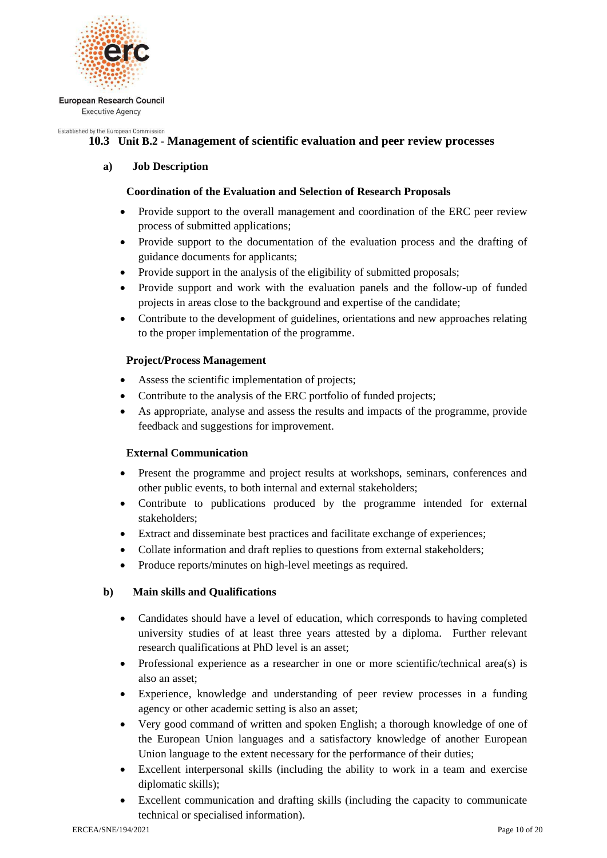

#### Established by the European Commission

# **10.3 Unit B.2 - Management of scientific evaluation and peer review processes**

# **a) Job Description**

# **Coordination of the Evaluation and Selection of Research Proposals**

- Provide support to the overall management and coordination of the ERC peer review process of submitted applications;
- Provide support to the documentation of the evaluation process and the drafting of guidance documents for applicants;
- Provide support in the analysis of the eligibility of submitted proposals;
- Provide support and work with the evaluation panels and the follow-up of funded projects in areas close to the background and expertise of the candidate;
- Contribute to the development of guidelines, orientations and new approaches relating to the proper implementation of the programme.

# **Project/Process Management**

- Assess the scientific implementation of projects;
- Contribute to the analysis of the ERC portfolio of funded projects;
- As appropriate, analyse and assess the results and impacts of the programme, provide feedback and suggestions for improvement.

# **External Communication**

- Present the programme and project results at workshops, seminars, conferences and other public events, to both internal and external stakeholders;
- Contribute to publications produced by the programme intended for external stakeholders;
- Extract and disseminate best practices and facilitate exchange of experiences;
- Collate information and draft replies to questions from external stakeholders;
- Produce reports/minutes on high-level meetings as required.

- Candidates should have a level of education, which corresponds to having completed university studies of at least three years attested by a diploma. Further relevant research qualifications at PhD level is an asset;
- Professional experience as a researcher in one or more scientific/technical area(s) is also an asset;
- Experience, knowledge and understanding of peer review processes in a funding agency or other academic setting is also an asset;
- Very good command of written and spoken English; a thorough knowledge of one of the European Union languages and a satisfactory knowledge of another European Union language to the extent necessary for the performance of their duties;
- Excellent interpersonal skills (including the ability to work in a team and exercise diplomatic skills);
- Excellent communication and drafting skills (including the capacity to communicate technical or specialised information).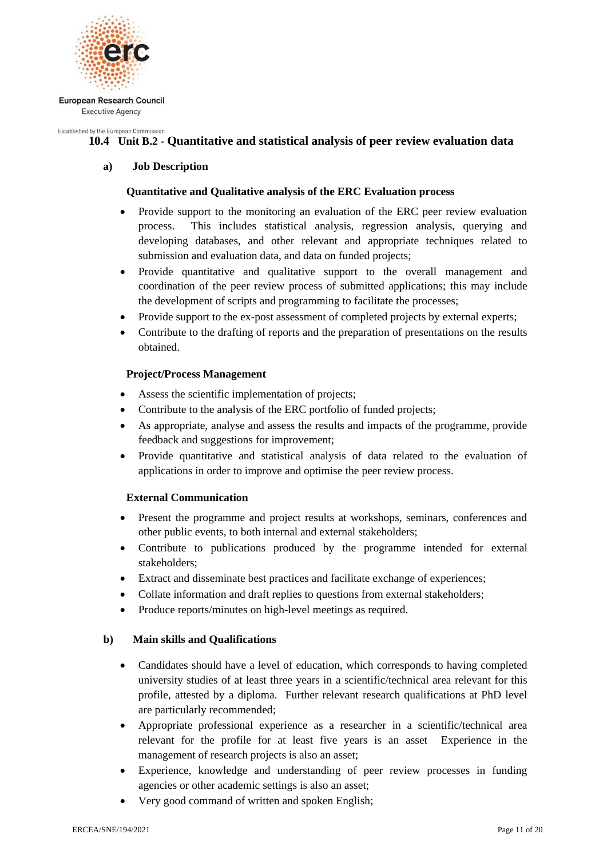

#### Established by the European Commission **10.4 Unit B.2 - Quantitative and statistical analysis of peer review evaluation data**

# **a) Job Description**

# **Quantitative and Qualitative analysis of the ERC Evaluation process**

- Provide support to the monitoring an evaluation of the ERC peer review evaluation process. This includes statistical analysis, regression analysis, querying and developing databases, and other relevant and appropriate techniques related to submission and evaluation data, and data on funded projects;
- Provide quantitative and qualitative support to the overall management and coordination of the peer review process of submitted applications; this may include the development of scripts and programming to facilitate the processes;
- Provide support to the ex-post assessment of completed projects by external experts;
- Contribute to the drafting of reports and the preparation of presentations on the results obtained.

# **Project/Process Management**

- Assess the scientific implementation of projects;
- Contribute to the analysis of the ERC portfolio of funded projects;
- As appropriate, analyse and assess the results and impacts of the programme, provide feedback and suggestions for improvement;
- Provide quantitative and statistical analysis of data related to the evaluation of applications in order to improve and optimise the peer review process.

# **External Communication**

- Present the programme and project results at workshops, seminars, conferences and other public events, to both internal and external stakeholders;
- Contribute to publications produced by the programme intended for external stakeholders;
- Extract and disseminate best practices and facilitate exchange of experiences;
- Collate information and draft replies to questions from external stakeholders;
- Produce reports/minutes on high-level meetings as required.

- Candidates should have a level of education, which corresponds to having completed university studies of at least three years in a scientific/technical area relevant for this profile, attested by a diploma. Further relevant research qualifications at PhD level are particularly recommended;
- Appropriate professional experience as a researcher in a scientific/technical area relevant for the profile for at least five years is an asset Experience in the management of research projects is also an asset;
- Experience, knowledge and understanding of peer review processes in funding agencies or other academic settings is also an asset;
- Very good command of written and spoken English: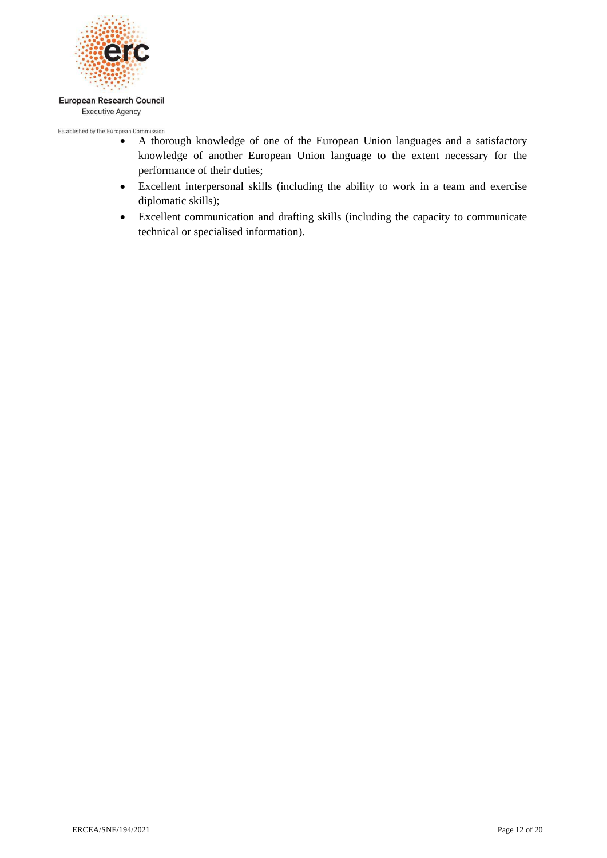

- Established by the European Commission<br>• A thorough knowledge of one of the European Union languages and a satisfactory knowledge of another European Union language to the extent necessary for the performance of their duties;
	- Excellent interpersonal skills (including the ability to work in a team and exercise diplomatic skills);
	- Excellent communication and drafting skills (including the capacity to communicate technical or specialised information).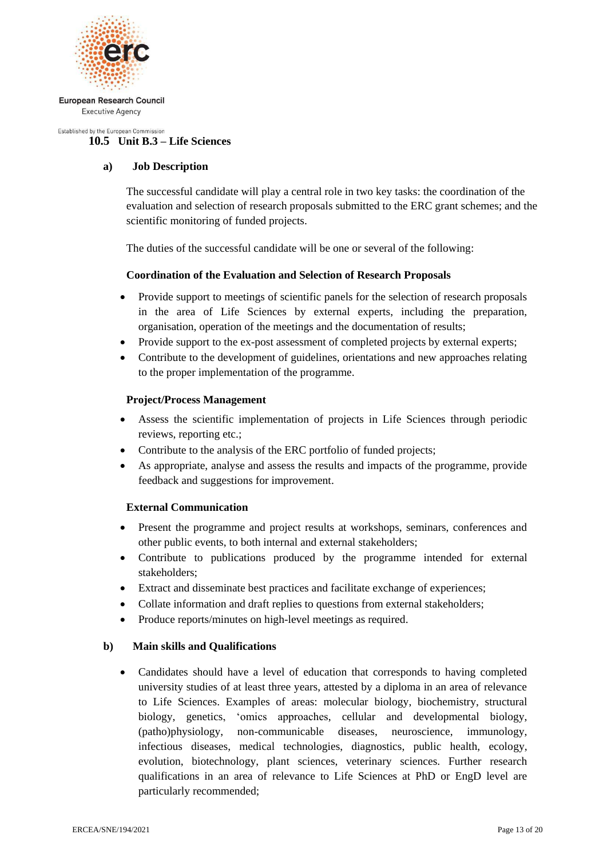

#### Established by the European Commission **10.5 Unit B.3 – Life Sciences**

# **a) Job Description**

The successful candidate will play a central role in two key tasks: the coordination of the evaluation and selection of research proposals submitted to the ERC grant schemes; and the scientific monitoring of funded projects.

The duties of the successful candidate will be one or several of the following:

# **Coordination of the Evaluation and Selection of Research Proposals**

- Provide support to meetings of scientific panels for the selection of research proposals in the area of Life Sciences by external experts, including the preparation, organisation, operation of the meetings and the documentation of results;
- Provide support to the ex-post assessment of completed projects by external experts;
- Contribute to the development of guidelines, orientations and new approaches relating to the proper implementation of the programme.

# **Project/Process Management**

- Assess the scientific implementation of projects in Life Sciences through periodic reviews, reporting etc.;
- Contribute to the analysis of the ERC portfolio of funded projects;
- As appropriate, analyse and assess the results and impacts of the programme, provide feedback and suggestions for improvement.

# **External Communication**

- Present the programme and project results at workshops, seminars, conferences and other public events, to both internal and external stakeholders;
- Contribute to publications produced by the programme intended for external stakeholders;
- Extract and disseminate best practices and facilitate exchange of experiences;
- Collate information and draft replies to questions from external stakeholders;
- Produce reports/minutes on high-level meetings as required.

# **b) Main skills and Qualifications**

 Candidates should have a level of education that corresponds to having completed university studies of at least three years, attested by a diploma in an area of relevance to Life Sciences. Examples of areas: molecular biology, biochemistry, structural biology, genetics, 'omics approaches, cellular and developmental biology, (patho)physiology, non-communicable diseases, neuroscience, immunology, infectious diseases, medical technologies, diagnostics, public health, ecology, evolution, biotechnology, plant sciences, veterinary sciences. Further research qualifications in an area of relevance to Life Sciences at PhD or EngD level are particularly recommended;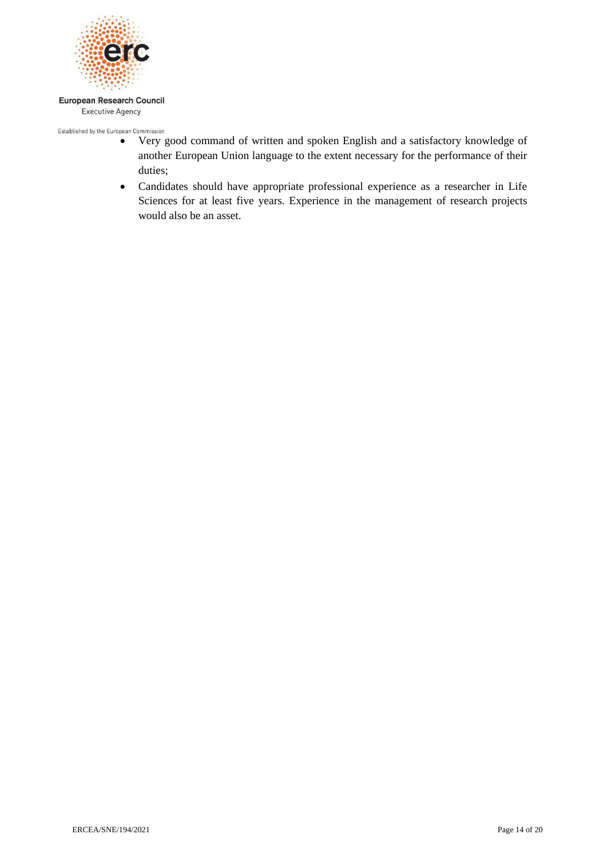

- Established by the European Commission<br>• Very good command of written and spoken English and a satisfactory knowledge of another European Union language to the extent necessary for the performance of their duties;
	- Candidates should have appropriate professional experience as a researcher in Life Sciences for at least five years. Experience in the management of research projects would also be an asset.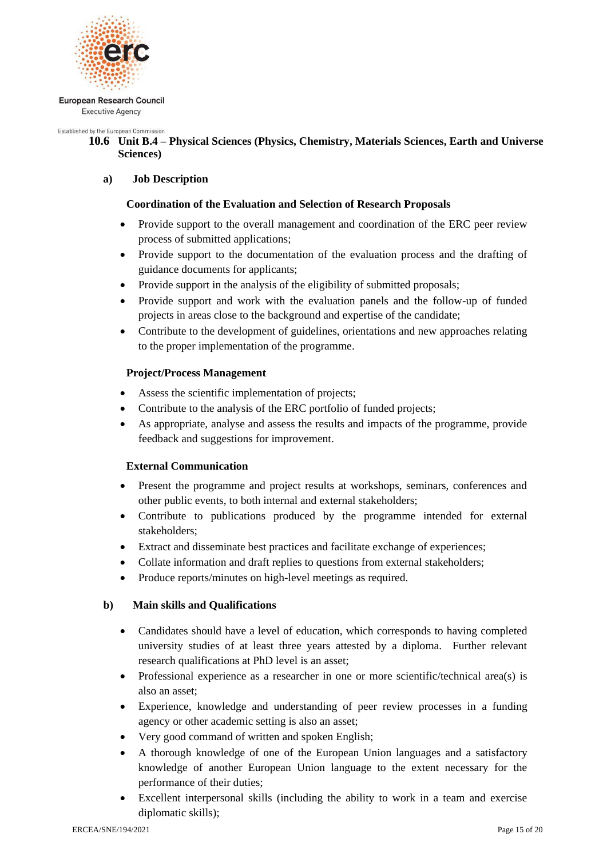

Established by the European Commission

# **10.6 Unit B.4 – Physical Sciences (Physics, Chemistry, Materials Sciences, Earth and Universe Sciences)**

# **a) Job Description**

# **Coordination of the Evaluation and Selection of Research Proposals**

- Provide support to the overall management and coordination of the ERC peer review process of submitted applications;
- Provide support to the documentation of the evaluation process and the drafting of guidance documents for applicants;
- Provide support in the analysis of the eligibility of submitted proposals;
- Provide support and work with the evaluation panels and the follow-up of funded projects in areas close to the background and expertise of the candidate;
- Contribute to the development of guidelines, orientations and new approaches relating to the proper implementation of the programme.

# **Project/Process Management**

- Assess the scientific implementation of projects;
- Contribute to the analysis of the ERC portfolio of funded projects:
- As appropriate, analyse and assess the results and impacts of the programme, provide feedback and suggestions for improvement.

# **External Communication**

- Present the programme and project results at workshops, seminars, conferences and other public events, to both internal and external stakeholders;
- Contribute to publications produced by the programme intended for external stakeholders;
- Extract and disseminate best practices and facilitate exchange of experiences;
- Collate information and draft replies to questions from external stakeholders;
- Produce reports/minutes on high-level meetings as required.

- Candidates should have a level of education, which corresponds to having completed university studies of at least three years attested by a diploma. Further relevant research qualifications at PhD level is an asset;
- Professional experience as a researcher in one or more scientific/technical area(s) is also an asset;
- Experience, knowledge and understanding of peer review processes in a funding agency or other academic setting is also an asset;
- Very good command of written and spoken English;
- A thorough knowledge of one of the European Union languages and a satisfactory knowledge of another European Union language to the extent necessary for the performance of their duties;
- Excellent interpersonal skills (including the ability to work in a team and exercise diplomatic skills);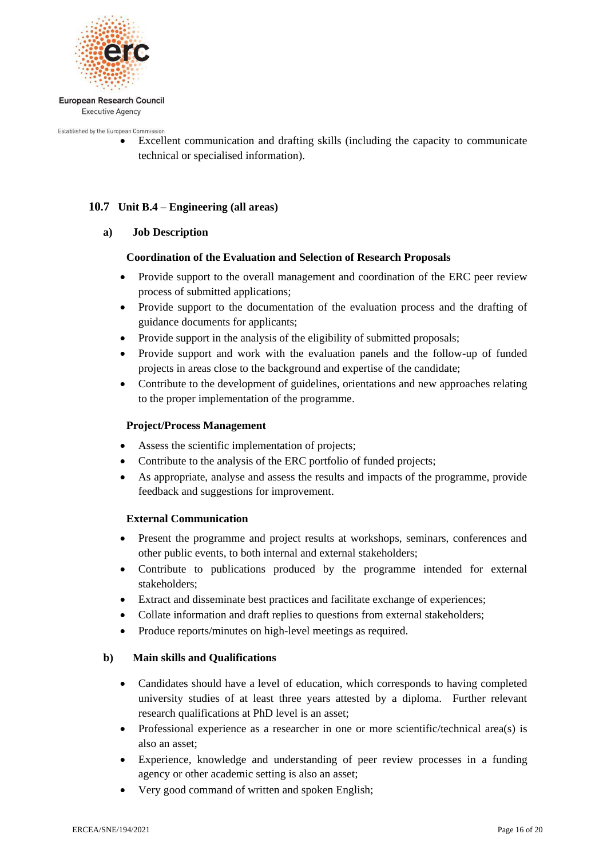

Established by the European Commission

 Excellent communication and drafting skills (including the capacity to communicate technical or specialised information).

# **10.7 Unit B.4 – Engineering (all areas)**

# **a) Job Description**

# **Coordination of the Evaluation and Selection of Research Proposals**

- Provide support to the overall management and coordination of the ERC peer review process of submitted applications;
- Provide support to the documentation of the evaluation process and the drafting of guidance documents for applicants;
- Provide support in the analysis of the eligibility of submitted proposals;
- Provide support and work with the evaluation panels and the follow-up of funded projects in areas close to the background and expertise of the candidate;
- Contribute to the development of guidelines, orientations and new approaches relating to the proper implementation of the programme.

# **Project/Process Management**

- Assess the scientific implementation of projects;
- Contribute to the analysis of the ERC portfolio of funded projects;
- As appropriate, analyse and assess the results and impacts of the programme, provide feedback and suggestions for improvement.

# **External Communication**

- Present the programme and project results at workshops, seminars, conferences and other public events, to both internal and external stakeholders;
- Contribute to publications produced by the programme intended for external stakeholders;
- Extract and disseminate best practices and facilitate exchange of experiences;
- Collate information and draft replies to questions from external stakeholders;
- Produce reports/minutes on high-level meetings as required.

- Candidates should have a level of education, which corresponds to having completed university studies of at least three years attested by a diploma. Further relevant research qualifications at PhD level is an asset;
- Professional experience as a researcher in one or more scientific/technical area(s) is also an asset;
- Experience, knowledge and understanding of peer review processes in a funding agency or other academic setting is also an asset;
- Very good command of written and spoken English;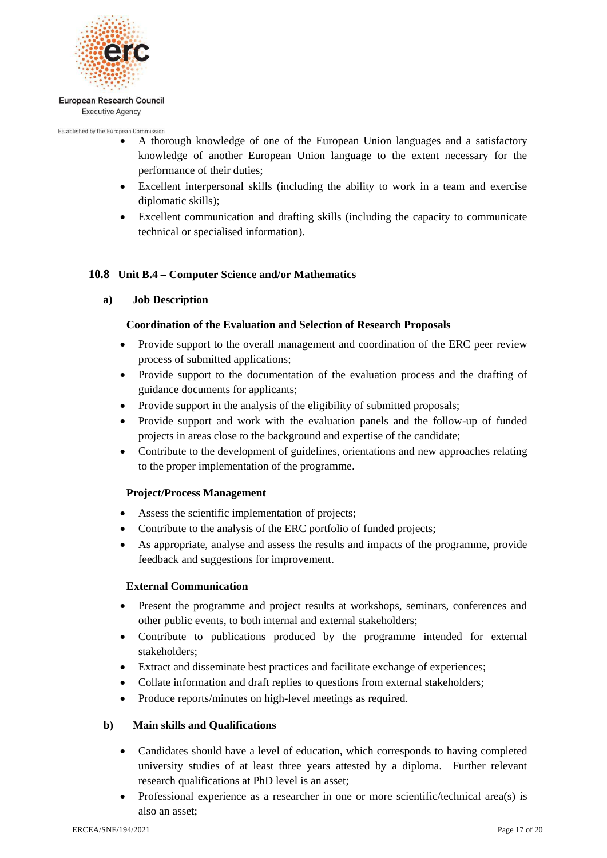

Established by the European Commission

- A thorough knowledge of one of the European Union languages and a satisfactory knowledge of another European Union language to the extent necessary for the performance of their duties;
- Excellent interpersonal skills (including the ability to work in a team and exercise diplomatic skills);
- Excellent communication and drafting skills (including the capacity to communicate technical or specialised information).

# **10.8 Unit B.4 – Computer Science and/or Mathematics**

**a) Job Description**

# **Coordination of the Evaluation and Selection of Research Proposals**

- Provide support to the overall management and coordination of the ERC peer review process of submitted applications;
- Provide support to the documentation of the evaluation process and the drafting of guidance documents for applicants;
- Provide support in the analysis of the eligibility of submitted proposals;
- Provide support and work with the evaluation panels and the follow-up of funded projects in areas close to the background and expertise of the candidate;
- Contribute to the development of guidelines, orientations and new approaches relating to the proper implementation of the programme.

# **Project/Process Management**

- Assess the scientific implementation of projects;
- Contribute to the analysis of the ERC portfolio of funded projects;
- As appropriate, analyse and assess the results and impacts of the programme, provide feedback and suggestions for improvement.

# **External Communication**

- Present the programme and project results at workshops, seminars, conferences and other public events, to both internal and external stakeholders;
- Contribute to publications produced by the programme intended for external stakeholders;
- Extract and disseminate best practices and facilitate exchange of experiences;
- Collate information and draft replies to questions from external stakeholders;
- Produce reports/minutes on high-level meetings as required.

- Candidates should have a level of education, which corresponds to having completed university studies of at least three years attested by a diploma. Further relevant research qualifications at PhD level is an asset;
- Professional experience as a researcher in one or more scientific/technical area(s) is also an asset;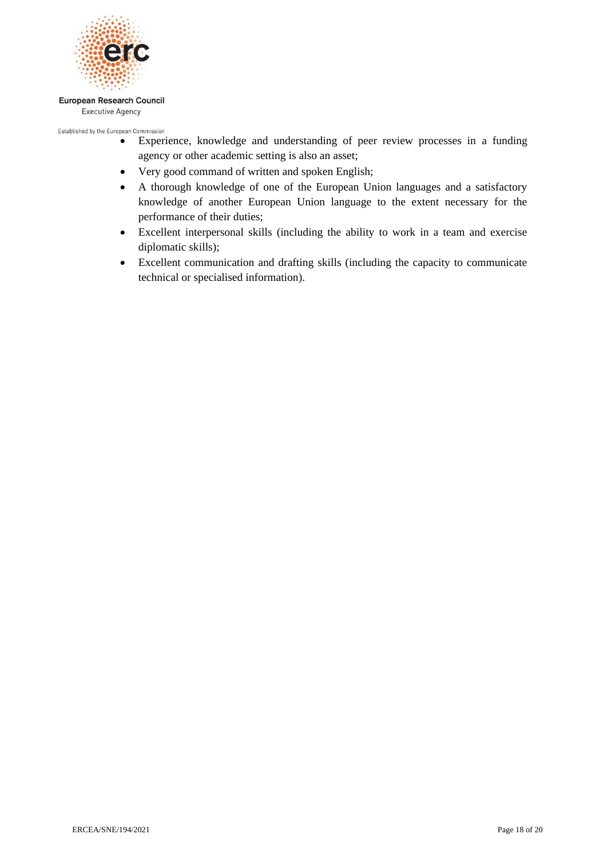

Established by the European Commission

- Experience, knowledge and understanding of peer review processes in a funding agency or other academic setting is also an asset;
- Very good command of written and spoken English;
- A thorough knowledge of one of the European Union languages and a satisfactory knowledge of another European Union language to the extent necessary for the performance of their duties;
- Excellent interpersonal skills (including the ability to work in a team and exercise diplomatic skills);
- Excellent communication and drafting skills (including the capacity to communicate technical or specialised information).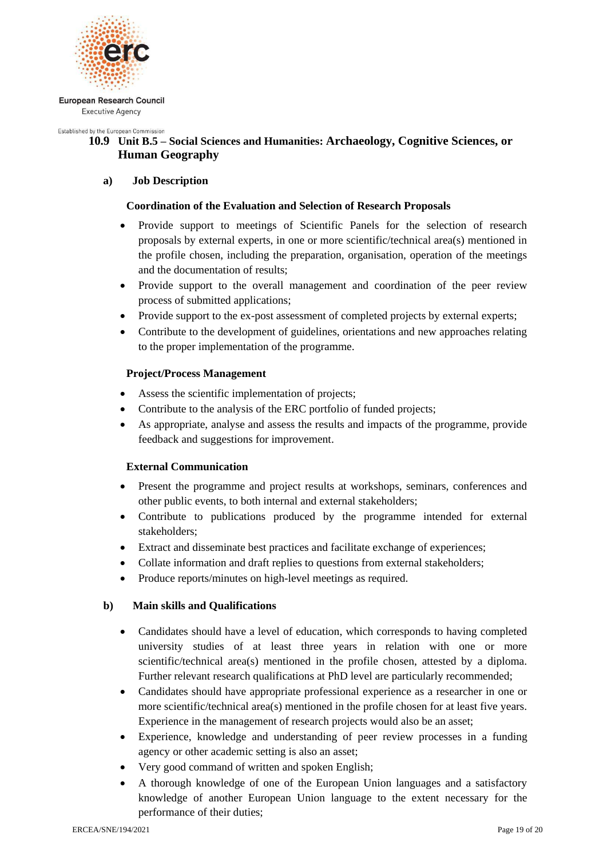

Established by the European Commission

# **10.9 Unit B.5 – Social Sciences and Humanities: Archaeology, Cognitive Sciences, or Human Geography**

# **a) Job Description**

# **Coordination of the Evaluation and Selection of Research Proposals**

- Provide support to meetings of Scientific Panels for the selection of research proposals by external experts, in one or more scientific/technical area(s) mentioned in the profile chosen, including the preparation, organisation, operation of the meetings and the documentation of results;
- Provide support to the overall management and coordination of the peer review process of submitted applications;
- Provide support to the ex-post assessment of completed projects by external experts;
- Contribute to the development of guidelines, orientations and new approaches relating to the proper implementation of the programme.

# **Project/Process Management**

- Assess the scientific implementation of projects;
- Contribute to the analysis of the ERC portfolio of funded projects;
- As appropriate, analyse and assess the results and impacts of the programme, provide feedback and suggestions for improvement.

# **External Communication**

- Present the programme and project results at workshops, seminars, conferences and other public events, to both internal and external stakeholders;
- Contribute to publications produced by the programme intended for external stakeholders;
- Extract and disseminate best practices and facilitate exchange of experiences;
- Collate information and draft replies to questions from external stakeholders;
- Produce reports/minutes on high-level meetings as required.

- Candidates should have a level of education, which corresponds to having completed university studies of at least three years in relation with one or more scientific/technical area(s) mentioned in the profile chosen, attested by a diploma. Further relevant research qualifications at PhD level are particularly recommended;
- Candidates should have appropriate professional experience as a researcher in one or more scientific/technical area(s) mentioned in the profile chosen for at least five years. Experience in the management of research projects would also be an asset;
- Experience, knowledge and understanding of peer review processes in a funding agency or other academic setting is also an asset;
- Very good command of written and spoken English;
- A thorough knowledge of one of the European Union languages and a satisfactory knowledge of another European Union language to the extent necessary for the performance of their duties;